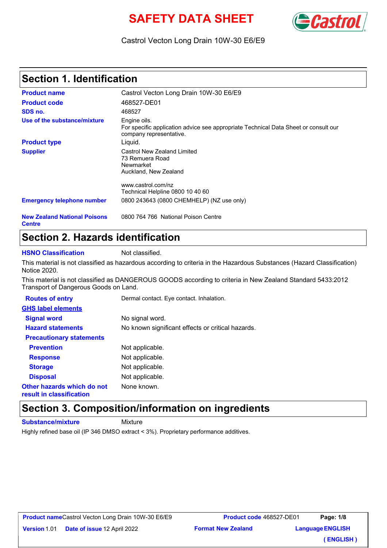# **SAFETY DATA SHEET**



### Castrol Vecton Long Drain 10W-30 E6/E9

# **Section 1. Identification**

| <b>Product name</b>                                  | Castrol Vecton Long Drain 10W-30 E6/E9                                                                                         |
|------------------------------------------------------|--------------------------------------------------------------------------------------------------------------------------------|
| <b>Product code</b>                                  | 468527-DE01                                                                                                                    |
| SDS no.                                              | 468527                                                                                                                         |
| Use of the substance/mixture                         | Engine oils.<br>For specific application advice see appropriate Technical Data Sheet or consult our<br>company representative. |
| <b>Product type</b>                                  | Liquid.                                                                                                                        |
| <b>Supplier</b>                                      | Castrol New Zealand Limited<br>73 Remuera Road<br>Newmarket<br>Auckland, New Zealand                                           |
|                                                      | www.castrol.com/nz                                                                                                             |
|                                                      | Technical Helpline 0800 10 40 60                                                                                               |
| <b>Emergency telephone number</b>                    | 0800 243643 (0800 CHEMHELP) (NZ use only)                                                                                      |
| <b>New Zealand National Poisons</b><br><b>Centre</b> | 0800 764 766 National Poison Centre                                                                                            |

## **Section 2. Hazards identification**

**HSNO Classification** Not classified.

This material is not classified as hazardous according to criteria in the Hazardous Substances (Hazard Classification) Notice 2020.

This material is not classified as DANGEROUS GOODS according to criteria in New Zealand Standard 5433:2012 Transport of Dangerous Goods on Land.

| <b>Routes of entry</b>                                 | Dermal contact. Eye contact. Inhalation.          |
|--------------------------------------------------------|---------------------------------------------------|
| <b>GHS label elements</b>                              |                                                   |
| <b>Signal word</b>                                     | No signal word.                                   |
| <b>Hazard statements</b>                               | No known significant effects or critical hazards. |
| <b>Precautionary statements</b>                        |                                                   |
| <b>Prevention</b>                                      | Not applicable.                                   |
| <b>Response</b>                                        | Not applicable.                                   |
| <b>Storage</b>                                         | Not applicable.                                   |
| <b>Disposal</b>                                        | Not applicable.                                   |
| Other hazards which do not<br>result in classification | None known.                                       |

### **Section 3. Composition/information on ingredients**

**Substance/mixture** Mixture

**Version 1.01 Date of issue 12 April 2** 

Highly refined base oil (IP 346 DMSO extract < 3%). Proprietary performance additives.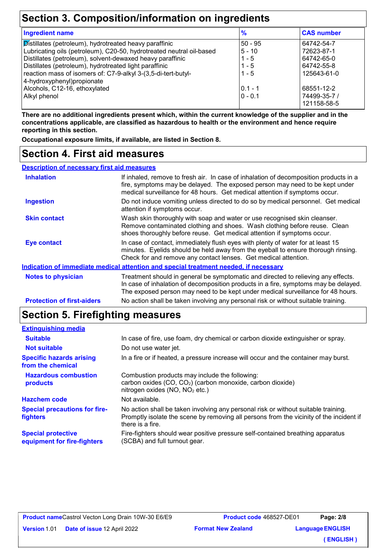# **Section 3. Composition/information on ingredients**

| <b>Ingredient name</b>                                               | $\frac{9}{6}$ | <b>CAS number</b> |
|----------------------------------------------------------------------|---------------|-------------------|
| Distillates (petroleum), hydrotreated heavy paraffinic               | $50 - 95$     | 64742-54-7        |
| Lubricating oils (petroleum), C20-50, hydrotreated neutral oil-based | $5 - 10$      | 72623-87-1        |
| Distillates (petroleum), solvent-dewaxed heavy paraffinic            | $1 - 5$       | 64742-65-0        |
| Distillates (petroleum), hydrotreated light paraffinic               | $1 - 5$       | 64742-55-8        |
| reaction mass of isomers of: C7-9-alkyl 3-(3,5-di-tert-butyl-        | $1 - 5$       | 125643-61-0       |
| 4-hydroxyphenyl) propionate                                          |               |                   |
| Alcohols, C12-16, ethoxylated                                        | $0.1 - 1$     | 68551-12-2        |
| <b>Alkyl phenol</b>                                                  | $0 - 0.1$     | 74499-35-7 /      |
|                                                                      |               | 121158-58-5       |

**There are no additional ingredients present which, within the current knowledge of the supplier and in the concentrations applicable, are classified as hazardous to health or the environment and hence require reporting in this section.**

**Occupational exposure limits, if available, are listed in Section 8.**

### **Section 4. First aid measures**

| <b>Description of necessary first aid measures</b> |                                                                                                                                                                                                                                                             |
|----------------------------------------------------|-------------------------------------------------------------------------------------------------------------------------------------------------------------------------------------------------------------------------------------------------------------|
| <b>Inhalation</b>                                  | If inhaled, remove to fresh air. In case of inhalation of decomposition products in a<br>fire, symptoms may be delayed. The exposed person may need to be kept under<br>medical surveillance for 48 hours. Get medical attention if symptoms occur.         |
| <b>Ingestion</b>                                   | Do not induce vomiting unless directed to do so by medical personnel. Get medical<br>attention if symptoms occur.                                                                                                                                           |
| <b>Skin contact</b>                                | Wash skin thoroughly with soap and water or use recognised skin cleanser.<br>Remove contaminated clothing and shoes. Wash clothing before reuse. Clean<br>shoes thoroughly before reuse. Get medical attention if symptoms occur.                           |
| <b>Eye contact</b>                                 | In case of contact, immediately flush eyes with plenty of water for at least 15<br>minutes. Eyelids should be held away from the eyeball to ensure thorough rinsing.<br>Check for and remove any contact lenses. Get medical attention.                     |
|                                                    | Indication of immediate medical attention and special treatment needed, if necessary                                                                                                                                                                        |
| <b>Notes to physician</b>                          | Treatment should in general be symptomatic and directed to relieving any effects.<br>In case of inhalation of decomposition products in a fire, symptoms may be delayed.<br>The exposed person may need to be kept under medical surveillance for 48 hours. |
| <b>Protection of first-aiders</b>                  | No action shall be taken involving any personal risk or without suitable training.                                                                                                                                                                          |

# **Section 5. Firefighting measures**

| <b>Extinguishing media</b>                               |                                                                                                                                                                                                   |
|----------------------------------------------------------|---------------------------------------------------------------------------------------------------------------------------------------------------------------------------------------------------|
| <b>Suitable</b>                                          | In case of fire, use foam, dry chemical or carbon dioxide extinguisher or spray.                                                                                                                  |
| <b>Not suitable</b>                                      | Do not use water jet.                                                                                                                                                                             |
| <b>Specific hazards arising</b><br>from the chemical     | In a fire or if heated, a pressure increase will occur and the container may burst.                                                                                                               |
| <b>Hazardous combustion</b><br>products                  | Combustion products may include the following:<br>carbon oxides (CO, CO <sub>2</sub> ) (carbon monoxide, carbon dioxide)<br>nitrogen oxides (NO, NO <sub>2</sub> etc.)                            |
| <b>Hazchem code</b>                                      | Not available.                                                                                                                                                                                    |
| <b>Special precautions for fire-</b><br>fighters         | No action shall be taken involving any personal risk or without suitable training.<br>Promptly isolate the scene by removing all persons from the vicinity of the incident if<br>there is a fire. |
| <b>Special protective</b><br>equipment for fire-fighters | Fire-fighters should wear positive pressure self-contained breathing apparatus<br>(SCBA) and full turnout gear.                                                                                   |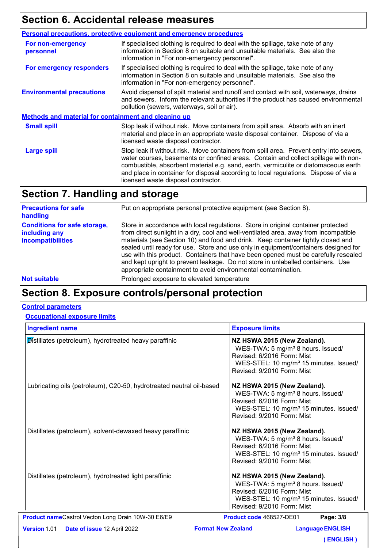# **Section 6. Accidental release measures**

|                                                             | <b>Personal precautions, protective equipment and emergency procedures</b>                                                                                                                                                                                                                                                                                                                         |
|-------------------------------------------------------------|----------------------------------------------------------------------------------------------------------------------------------------------------------------------------------------------------------------------------------------------------------------------------------------------------------------------------------------------------------------------------------------------------|
| For non-emergency<br>personnel                              | If specialised clothing is required to deal with the spillage, take note of any<br>information in Section 8 on suitable and unsuitable materials. See also the<br>information in "For non-emergency personnel".                                                                                                                                                                                    |
| For emergency responders                                    | If specialised clothing is required to deal with the spillage, take note of any<br>information in Section 8 on suitable and unsuitable materials. See also the<br>information in "For non-emergency personnel".                                                                                                                                                                                    |
| <b>Environmental precautions</b>                            | Avoid dispersal of spilt material and runoff and contact with soil, waterways, drains<br>and sewers. Inform the relevant authorities if the product has caused environmental<br>pollution (sewers, waterways, soil or air).                                                                                                                                                                        |
| <b>Methods and material for containment and cleaning up</b> |                                                                                                                                                                                                                                                                                                                                                                                                    |
| <b>Small spill</b>                                          | Stop leak if without risk. Move containers from spill area. Absorb with an inert<br>material and place in an appropriate waste disposal container. Dispose of via a<br>licensed waste disposal contractor.                                                                                                                                                                                         |
| <b>Large spill</b>                                          | Stop leak if without risk. Move containers from spill area. Prevent entry into sewers,<br>water courses, basements or confined areas. Contain and collect spillage with non-<br>combustible, absorbent material e.g. sand, earth, vermiculite or diatomaceous earth<br>and place in container for disposal according to local regulations. Dispose of via a<br>licensed waste disposal contractor. |

# **Section 7. Handling and storage**

| <b>Precautions for safe</b><br>handling                                   | Put on appropriate personal protective equipment (see Section 8).                                                                                                                                                                                                                                                                                                                                                                                                                                                                                                                              |
|---------------------------------------------------------------------------|------------------------------------------------------------------------------------------------------------------------------------------------------------------------------------------------------------------------------------------------------------------------------------------------------------------------------------------------------------------------------------------------------------------------------------------------------------------------------------------------------------------------------------------------------------------------------------------------|
| <b>Conditions for safe storage,</b><br>including any<br>incompatibilities | Store in accordance with local regulations. Store in original container protected<br>from direct sunlight in a dry, cool and well-ventilated area, away from incompatible<br>materials (see Section 10) and food and drink. Keep container tightly closed and<br>sealed until ready for use. Store and use only in equipment/containers designed for<br>use with this product. Containers that have been opened must be carefully resealed<br>and kept upright to prevent leakage. Do not store in unlabelled containers. Use<br>appropriate containment to avoid environmental contamination. |
| <b>Not suitable</b>                                                       | Prolonged exposure to elevated temperature                                                                                                                                                                                                                                                                                                                                                                                                                                                                                                                                                     |

# **Section 8. Exposure controls/personal protection**

#### **Control parameters**

#### **Occupational exposure limits**

| <b>Ingredient name</b>                                               | <b>Exposure limits</b>                                                                                                                                                                         |  |  |  |
|----------------------------------------------------------------------|------------------------------------------------------------------------------------------------------------------------------------------------------------------------------------------------|--|--|--|
| Distillates (petroleum), hydrotreated heavy paraffinic               | NZ HSWA 2015 (New Zealand).<br>WES-TWA: 5 mg/m <sup>3</sup> 8 hours. Issued/<br>Revised: 6/2016 Form: Mist<br>WES-STEL: 10 mg/m <sup>3</sup> 15 minutes. Issued/<br>Revised: 9/2010 Form: Mist |  |  |  |
| Lubricating oils (petroleum), C20-50, hydrotreated neutral oil-based | NZ HSWA 2015 (New Zealand).<br>WES-TWA: 5 mg/m <sup>3</sup> 8 hours. Issued/<br>Revised: 6/2016 Form: Mist<br>WES-STEL: 10 mg/m <sup>3</sup> 15 minutes. Issued/<br>Revised: 9/2010 Form: Mist |  |  |  |
| Distillates (petroleum), solvent-dewaxed heavy paraffinic            | NZ HSWA 2015 (New Zealand).<br>WES-TWA: 5 mg/m <sup>3</sup> 8 hours. Issued/<br>Revised: 6/2016 Form: Mist<br>WES-STEL: 10 mg/m <sup>3</sup> 15 minutes. Issued/<br>Revised: 9/2010 Form: Mist |  |  |  |
| Distillates (petroleum), hydrotreated light paraffinic               | NZ HSWA 2015 (New Zealand).<br>WES-TWA: 5 mg/m <sup>3</sup> 8 hours. Issued/<br>Revised: 6/2016 Form: Mist<br>WES-STEL: 10 mg/m <sup>3</sup> 15 minutes. Issued/<br>Revised: 9/2010 Form: Mist |  |  |  |
| Product nameCastrol Vecton Long Drain 10W-30 E6/E9                   | Product code 468527-DE01<br>Page: 3/8                                                                                                                                                          |  |  |  |
| <b>Version 1.01</b><br>Date of issue 12 April 2022                   | <b>Format New Zealand</b><br><b>Language ENGLISH</b>                                                                                                                                           |  |  |  |
|                                                                      | <b>ENGLISH</b> )                                                                                                                                                                               |  |  |  |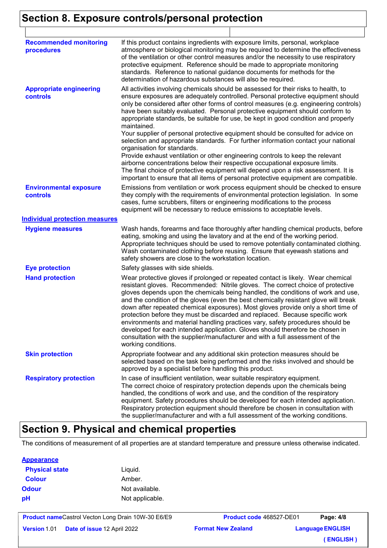# **Section 8. Exposure controls/personal protection**

| <b>Recommended monitoring</b><br>procedures       | If this product contains ingredients with exposure limits, personal, workplace<br>atmosphere or biological monitoring may be required to determine the effectiveness<br>of the ventilation or other control measures and/or the necessity to use respiratory<br>protective equipment. Reference should be made to appropriate monitoring<br>standards. Reference to national guidance documents for methods for the<br>determination of hazardous substances will also be required.                                                                                                                                                                                                                                                                                                                                                                                                                                                                                                                           |
|---------------------------------------------------|---------------------------------------------------------------------------------------------------------------------------------------------------------------------------------------------------------------------------------------------------------------------------------------------------------------------------------------------------------------------------------------------------------------------------------------------------------------------------------------------------------------------------------------------------------------------------------------------------------------------------------------------------------------------------------------------------------------------------------------------------------------------------------------------------------------------------------------------------------------------------------------------------------------------------------------------------------------------------------------------------------------|
| <b>Appropriate engineering</b><br><b>controls</b> | All activities involving chemicals should be assessed for their risks to health, to<br>ensure exposures are adequately controlled. Personal protective equipment should<br>only be considered after other forms of control measures (e.g. engineering controls)<br>have been suitably evaluated. Personal protective equipment should conform to<br>appropriate standards, be suitable for use, be kept in good condition and properly<br>maintained.<br>Your supplier of personal protective equipment should be consulted for advice on<br>selection and appropriate standards. For further information contact your national<br>organisation for standards.<br>Provide exhaust ventilation or other engineering controls to keep the relevant<br>airborne concentrations below their respective occupational exposure limits.<br>The final choice of protective equipment will depend upon a risk assessment. It is<br>important to ensure that all items of personal protective equipment are compatible. |
| <b>Environmental exposure</b><br>controls         | Emissions from ventilation or work process equipment should be checked to ensure<br>they comply with the requirements of environmental protection legislation. In some<br>cases, fume scrubbers, filters or engineering modifications to the process<br>equipment will be necessary to reduce emissions to acceptable levels.                                                                                                                                                                                                                                                                                                                                                                                                                                                                                                                                                                                                                                                                                 |
| <b>Individual protection measures</b>             |                                                                                                                                                                                                                                                                                                                                                                                                                                                                                                                                                                                                                                                                                                                                                                                                                                                                                                                                                                                                               |
| <b>Hygiene measures</b>                           | Wash hands, forearms and face thoroughly after handling chemical products, before<br>eating, smoking and using the lavatory and at the end of the working period.<br>Appropriate techniques should be used to remove potentially contaminated clothing.<br>Wash contaminated clothing before reusing. Ensure that eyewash stations and<br>safety showers are close to the workstation location.                                                                                                                                                                                                                                                                                                                                                                                                                                                                                                                                                                                                               |
| <b>Eye protection</b>                             | Safety glasses with side shields.                                                                                                                                                                                                                                                                                                                                                                                                                                                                                                                                                                                                                                                                                                                                                                                                                                                                                                                                                                             |
| <b>Hand protection</b>                            | Wear protective gloves if prolonged or repeated contact is likely. Wear chemical<br>resistant gloves. Recommended: Nitrile gloves. The correct choice of protective<br>gloves depends upon the chemicals being handled, the conditions of work and use,<br>and the condition of the gloves (even the best chemically resistant glove will break<br>down after repeated chemical exposures). Most gloves provide only a short time of<br>protection before they must be discarded and replaced. Because specific work<br>environments and material handling practices vary, safety procedures should be<br>developed for each intended application. Gloves should therefore be chosen in<br>consultation with the supplier/manufacturer and with a full assessment of the<br>working conditions.                                                                                                                                                                                                               |
| <b>Skin protection</b>                            | Appropriate footwear and any additional skin protection measures should be<br>selected based on the task being performed and the risks involved and should be<br>approved by a specialist before handling this product.                                                                                                                                                                                                                                                                                                                                                                                                                                                                                                                                                                                                                                                                                                                                                                                       |
| <b>Respiratory protection</b>                     | In case of insufficient ventilation, wear suitable respiratory equipment.<br>The correct choice of respiratory protection depends upon the chemicals being<br>handled, the conditions of work and use, and the condition of the respiratory<br>equipment. Safety procedures should be developed for each intended application.<br>Respiratory protection equipment should therefore be chosen in consultation with<br>the supplier/manufacturer and with a full assessment of the working conditions.                                                                                                                                                                                                                                                                                                                                                                                                                                                                                                         |

 $\perp$ 

## **Section 9. Physical and chemical properties**

The conditions of measurement of all properties are at standard temperature and pressure unless otherwise indicated.

#### **Appearance**

| <b>Physical state</b> | Liquid.         |
|-----------------------|-----------------|
| <b>Colour</b>         | Amber.          |
| <b>Odour</b>          | Not available.  |
| pH                    | Not applicable. |

| <b>Product nameCastrol Vecton Long Drain 10W-30 E6/E9</b> |
|-----------------------------------------------------------|
|-----------------------------------------------------------|

**Format New Zealand** 

**Product code** 468527-DE01 **Language ENGLISH Page: 4/8 ( ENGLISH )**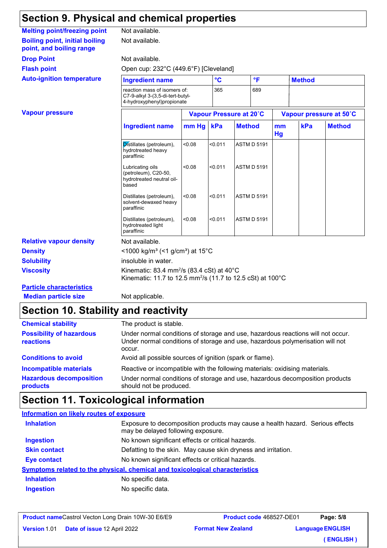# **Section 9. Physical and chemical properties**

| <b>Melting point/freezing point</b>                               |                                                                                                                                           | Not available.                                                                                 |                 |            |                           |                         |     |               |
|-------------------------------------------------------------------|-------------------------------------------------------------------------------------------------------------------------------------------|------------------------------------------------------------------------------------------------|-----------------|------------|---------------------------|-------------------------|-----|---------------|
| <b>Boiling point, initial boiling</b><br>point, and boiling range | Not available.                                                                                                                            |                                                                                                |                 |            |                           |                         |     |               |
| <b>Drop Point</b>                                                 | Not available.                                                                                                                            |                                                                                                |                 |            |                           |                         |     |               |
| <b>Flash point</b>                                                | Open cup: 232°C (449.6°F) [Cleveland]                                                                                                     |                                                                                                |                 |            |                           |                         |     |               |
| <b>Auto-ignition temperature</b>                                  | <b>Ingredient name</b>                                                                                                                    |                                                                                                | $\rm ^{\circ}C$ | °F         |                           | <b>Method</b>           |     |               |
|                                                                   |                                                                                                                                           | reaction mass of isomers of:<br>C7-9-alkyl 3-(3,5-di-tert-butyl-<br>4-hydroxyphenyl)propionate |                 | 365<br>689 |                           |                         |     |               |
| <b>Vapour pressure</b>                                            |                                                                                                                                           | Vapour Pressure at 20°C                                                                        |                 |            |                           | Vapour pressure at 50°C |     |               |
|                                                                   | <b>Ingredient name</b>                                                                                                                    | mm Hg                                                                                          | kPa             |            | <b>Method</b><br>mm<br>Hg |                         | kPa | <b>Method</b> |
|                                                                   | Distillates (petroleum),<br>hydrotreated heavy<br>paraffinic                                                                              | < 0.08                                                                                         | < 0.011         |            | <b>ASTM D 5191</b>        |                         |     |               |
|                                                                   | Lubricating oils<br>(petroleum), C20-50,<br>hydrotreated neutral oil-<br>based                                                            | < 0.08                                                                                         | < 0.011         |            | <b>ASTM D 5191</b>        |                         |     |               |
|                                                                   | Distillates (petroleum),<br>solvent-dewaxed heavy<br>paraffinic                                                                           | < 0.08                                                                                         | < 0.011         |            | <b>ASTM D 5191</b>        |                         |     |               |
|                                                                   | Distillates (petroleum),<br>hydrotreated light<br>paraffinic                                                                              | < 0.08                                                                                         | < 0.011         |            | <b>ASTM D 5191</b>        |                         |     |               |
| <b>Relative vapour density</b>                                    | Not available.                                                                                                                            |                                                                                                |                 |            |                           |                         |     |               |
| <b>Density</b>                                                    | <1000 kg/m <sup>3</sup> (<1 g/cm <sup>3</sup> ) at 15 <sup>°</sup> C                                                                      |                                                                                                |                 |            |                           |                         |     |               |
| <b>Solubility</b>                                                 | insoluble in water.                                                                                                                       |                                                                                                |                 |            |                           |                         |     |               |
| <b>Viscosity</b>                                                  | Kinematic: 83.4 mm <sup>2</sup> /s (83.4 cSt) at $40^{\circ}$ C<br>Kinematic: 11.7 to 12.5 mm <sup>2</sup> /s (11.7 to 12.5 cSt) at 100°C |                                                                                                |                 |            |                           |                         |     |               |
| <b>Particle characteristics</b>                                   |                                                                                                                                           |                                                                                                |                 |            |                           |                         |     |               |
| <b>Median particle size</b>                                       | Not applicable.                                                                                                                           |                                                                                                |                 |            |                           |                         |     |               |

### **Section 10. Stability and reactivity**

| <b>Chemical stability</b>                                                   | The product is stable.                                                                                                                                                                 |
|-----------------------------------------------------------------------------|----------------------------------------------------------------------------------------------------------------------------------------------------------------------------------------|
| <b>Possibility of hazardous</b><br>reactions                                | Under normal conditions of storage and use, hazardous reactions will not occur.<br>Under normal conditions of storage and use, hazardous polymerisation will not<br>occur.             |
| <b>Conditions to avoid</b>                                                  | Avoid all possible sources of ignition (spark or flame).                                                                                                                               |
| <b>Incompatible materials</b><br><b>Hazardous decomposition</b><br>products | Reactive or incompatible with the following materials: oxidising materials.<br>Under normal conditions of storage and use, hazardous decomposition products<br>should not be produced. |

# **Section 11. Toxicological information**

### **Information on likely routes of exposure Inhalation** Exposure to decomposition products may cause a health hazard. Serious effects may be delayed following exposure. **Ingestion** No known significant effects or critical hazards. **Skin contact** Defatting to the skin. May cause skin dryness and irritation. **Eye contact** No known significant effects or critical hazards. **Symptoms related to the physical, chemical and toxicological characteristics**

| <b>Inhalation</b> | No specific data. |
|-------------------|-------------------|
| Ingestion         | No specific data. |

**Version 1.01 Date of issue 12 April 2** 

**Format New Zealand Product code** 468527-DE01 **Language ENGLISH Page: 5/8**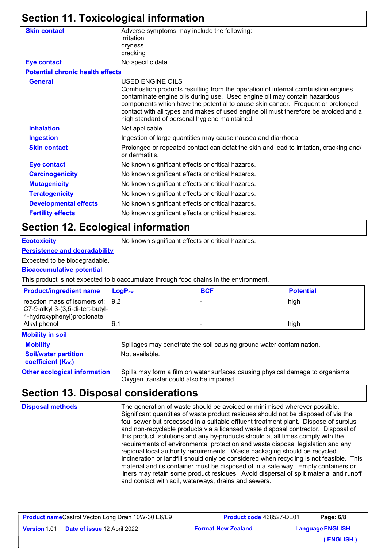# **Section 11. Toxicological information**

| <b>Skin contact</b>                     | Adverse symptoms may include the following:<br>irritation                                                                                                                                                                                                                                                                                                                                                   |
|-----------------------------------------|-------------------------------------------------------------------------------------------------------------------------------------------------------------------------------------------------------------------------------------------------------------------------------------------------------------------------------------------------------------------------------------------------------------|
|                                         | dryness                                                                                                                                                                                                                                                                                                                                                                                                     |
|                                         | cracking                                                                                                                                                                                                                                                                                                                                                                                                    |
| <b>Eye contact</b>                      | No specific data.                                                                                                                                                                                                                                                                                                                                                                                           |
| <b>Potential chronic health effects</b> |                                                                                                                                                                                                                                                                                                                                                                                                             |
| <b>General</b>                          | USED ENGINE OILS<br>Combustion products resulting from the operation of internal combustion engines<br>contaminate engine oils during use. Used engine oil may contain hazardous<br>components which have the potential to cause skin cancer. Frequent or prolonged<br>contact with all types and makes of used engine oil must therefore be avoided and a<br>high standard of personal hygiene maintained. |
| <b>Inhalation</b>                       | Not applicable.                                                                                                                                                                                                                                                                                                                                                                                             |
| <b>Ingestion</b>                        | Ingestion of large quantities may cause nausea and diarrhoea.                                                                                                                                                                                                                                                                                                                                               |
| <b>Skin contact</b>                     | Prolonged or repeated contact can defat the skin and lead to irritation, cracking and/<br>or dermatitis.                                                                                                                                                                                                                                                                                                    |
| <b>Eye contact</b>                      | No known significant effects or critical hazards.                                                                                                                                                                                                                                                                                                                                                           |
| <b>Carcinogenicity</b>                  | No known significant effects or critical hazards.                                                                                                                                                                                                                                                                                                                                                           |
| <b>Mutagenicity</b>                     | No known significant effects or critical hazards.                                                                                                                                                                                                                                                                                                                                                           |
| <b>Teratogenicity</b>                   | No known significant effects or critical hazards.                                                                                                                                                                                                                                                                                                                                                           |
| <b>Developmental effects</b>            | No known significant effects or critical hazards.                                                                                                                                                                                                                                                                                                                                                           |
| <b>Fertility effects</b>                | No known significant effects or critical hazards.                                                                                                                                                                                                                                                                                                                                                           |
|                                         |                                                                                                                                                                                                                                                                                                                                                                                                             |

### **Section 12. Ecological information**

**Ecotoxicity** No known significant effects or critical hazards.

### **Persistence and degradability**

### Expected to be biodegradable.

#### **Bioaccumulative potential**

This product is not expected to bioaccumulate through food chains in the environment.

| <b>Product/ingredient name</b>                                                                                         | ∣ LoqP <sub>ow</sub> | <b>BCF</b> | <b>Potential</b> |
|------------------------------------------------------------------------------------------------------------------------|----------------------|------------|------------------|
| reaction mass of isomers of: 9.2<br>$ C7-9-alky $ 3-(3,5-di-tert-butyl-<br>4-hydroxyphenyl) propionate<br>Alkyl phenol | 6.1                  |            | high<br>high     |

#### **Mobility in soil**

**Soil/water partition coefficient (KOC)**

**Mobility** Spillages may penetrate the soil causing ground water contamination. Not available.

**Other ecological information** Spills may form a film on water surfaces causing physical damage to organisms. Oxygen transfer could also be impaired.

# **Section 13. Disposal considerations**

The generation of waste should be avoided or minimised wherever possible. Significant quantities of waste product residues should not be disposed of via the foul sewer but processed in a suitable effluent treatment plant. Dispose of surplus and non-recyclable products via a licensed waste disposal contractor. Disposal of this product, solutions and any by-products should at all times comply with the requirements of environmental protection and waste disposal legislation and any regional local authority requirements. Waste packaging should be recycled. Incineration or landfill should only be considered when recycling is not feasible. This material and its container must be disposed of in a safe way. Empty containers or liners may retain some product residues. Avoid dispersal of spilt material and runoff and contact with soil, waterways, drains and sewers. **Disposal methods**

**Version 1.01 Date of issue 12 April 2** 

**Format New Zealand Product code** 468527-DE01 **Language ENGLISH Page: 6/8 ( ENGLISH )**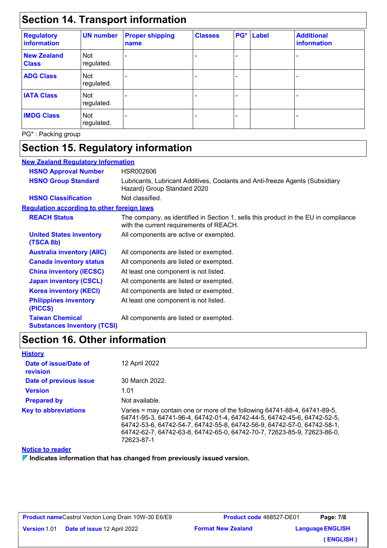# **Section 14. Transport information**

| <b>Regulatory</b><br>information   | <b>UN number</b>         | <b>Proper shipping</b><br>name | <b>Classes</b> | PG* | Label | <b>Additional</b><br>information |
|------------------------------------|--------------------------|--------------------------------|----------------|-----|-------|----------------------------------|
| <b>New Zealand</b><br><b>Class</b> | <b>Not</b><br>regulated. |                                |                |     |       |                                  |
| <b>ADG Class</b>                   | Not<br>regulated.        |                                |                |     |       |                                  |
| <b>IATA Class</b>                  | Not<br>regulated.        |                                |                |     |       |                                  |
| <b>IMDG Class</b>                  | Not<br>regulated.        |                                |                |     |       |                                  |

PG\* : Packing group

# **Section 15. Regulatory information**

| <b>New Zealand Requiatory Information</b>                    |                                                                                                                                |
|--------------------------------------------------------------|--------------------------------------------------------------------------------------------------------------------------------|
| <b>HSNO Approval Number</b>                                  | HSR002606                                                                                                                      |
| <b>HSNO Group Standard</b>                                   | Lubricants, Lubricant Additives, Coolants and Anti-freeze Agents (Subsidiary<br>Hazard) Group Standard 2020                    |
| <b>HSNO Classification</b>                                   | Not classified.                                                                                                                |
| <b>Requlation according to other foreign laws</b>            |                                                                                                                                |
| <b>REACH Status</b>                                          | The company, as identified in Section 1, sells this product in the EU in compliance<br>with the current requirements of REACH. |
| <b>United States inventory</b><br>(TSCA 8b)                  | All components are active or exempted.                                                                                         |
| <b>Australia inventory (AIIC)</b>                            | All components are listed or exempted.                                                                                         |
| <b>Canada inventory status</b>                               | All components are listed or exempted.                                                                                         |
| <b>China inventory (IECSC)</b>                               | At least one component is not listed.                                                                                          |
| <b>Japan inventory (CSCL)</b>                                | All components are listed or exempted.                                                                                         |
| <b>Korea inventory (KECI)</b>                                | All components are listed or exempted.                                                                                         |
| <b>Philippines inventory</b><br>(PICCS)                      | At least one component is not listed.                                                                                          |
| <b>Taiwan Chemical</b><br><b>Substances Inventory (TCSI)</b> | All components are listed or exempted.                                                                                         |

# **Section 16. Other information**

| <b>History</b>                    |                                                                                                                                                                                                                                                                                                                          |
|-----------------------------------|--------------------------------------------------------------------------------------------------------------------------------------------------------------------------------------------------------------------------------------------------------------------------------------------------------------------------|
| Date of issue/Date of<br>revision | 12 April 2022                                                                                                                                                                                                                                                                                                            |
| Date of previous issue            | 30 March 2022.                                                                                                                                                                                                                                                                                                           |
| <b>Version</b>                    | 1.01                                                                                                                                                                                                                                                                                                                     |
| <b>Prepared by</b>                | Not available.                                                                                                                                                                                                                                                                                                           |
| <b>Key to abbreviations</b>       | Varies = may contain one or more of the following 64741-88-4, 64741-89-5,<br>64741-95-3, 64741-96-4, 64742-01-4, 64742-44-5, 64742-45-6, 64742-52-5,<br>64742-53-6, 64742-54-7, 64742-55-8, 64742-56-9, 64742-57-0, 64742-58-1,<br>64742-62-7, 64742-63-8, 64742-65-0, 64742-70-7, 72623-85-9, 72623-86-0,<br>72623-87-1 |

#### **Notice to reader**

**Indicates information that has changed from previously issued version.**